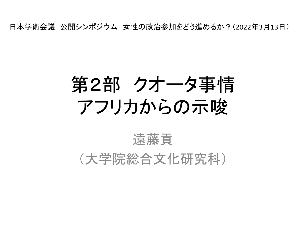日本学術会議 公開シンポジウム 女性の政治参加をどう進めるか?(2022年3月13日)

# 第2部 クオータ事情 アフリカからの示唆

#### 遠藤貢 (大学院総合文化研究科)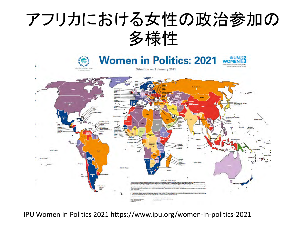



IPU Women in Politics 2021 https://www.ipu.org/women-in-politics-2021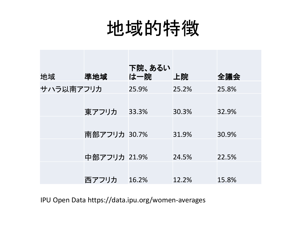#### 地域的特徴

| 地域        | 準地域          | 下院、あるい<br>は一院 | 上院    | 全議会   |
|-----------|--------------|---------------|-------|-------|
| サハラ以南アフリカ |              | 25.9%         | 25.2% | 25.8% |
|           | 東アフリカ        | 33.3%         | 30.3% | 32.9% |
|           | 南部アフリカ 30.7% |               | 31.9% | 30.9% |
|           | 中部アフリカ 21.9% |               | 24.5% | 22.5% |
|           | 西アフリカ        | 16.2%         | 12.2% | 15.8% |

IPU Open Data https://data.ipu.org/women-averages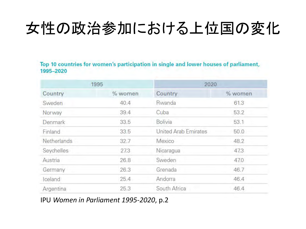#### 女性の政治参加における上位国の変化

Top 10 countries for women's participation in single and lower houses of parliament, 1995-2020

|             | 1995    | 2020                 |         |
|-------------|---------|----------------------|---------|
| Country     | % women | Country              | % women |
| Sweden      | 40.4    | Rwanda               | 61.3    |
| Norway      | 39.4    | Cuba                 | 53.2    |
| Denmark     | 33.5    | <b>Bolivia</b>       | 53.1    |
| Finland     | 33.5    | United Arab Emirates | 50.0    |
| Netherlands | 32.7    | Mexico               | 48.2    |
| Seychelles  | 27.3    | Nicaragua            | 47.3    |
| Austria     | 26.8    | Sweden               | 47.0    |
| Germany     | 26.3    | Grenada              | 46.7    |
| Iceland     | 25.4    | Andorra              | 46.4    |
| Argentina   | 25.3    | South Africa         | 46.4    |

IPU *Women in Parliament 1995-2020*, p.2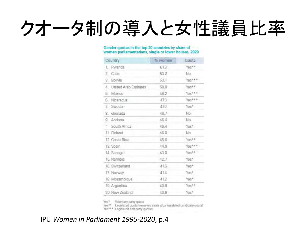# クオータ制の導入と女性議員比率

#### Gender quotas in the top 20 countries by share of women parliamentarians, single or lower houses, 2020

| Country                 | % women | Quota   |
|-------------------------|---------|---------|
| 1. Rwanda               | 613     | Yes**   |
| 2. Cuba                 | 53.2    | No.     |
| 3. Bolivia              | 53.1    | Yes *** |
| 4. United Arab Emirates | 50.0    | Yas**   |
| 5. Mexico               | 48.2    | Yes***  |
| 6. Nicaragua            | 47.3    | Yes***  |
| 7. Sweden               | 47.0    | Yes*    |
| Grenada<br>8.           | 46.7    | No.     |
| 9. Andorra              | 46.4    | No.     |
| ÷.<br>South Africa      | 46.4    | Yes*    |
| 11. Finland             | 46.0    | No.     |
| 12. Costa Rica          | 45.6    | Yes**   |
| 13. Spain               | 44.0    | Yes***  |
| 14. Senegal             | 43.0    | Yes**   |
| 15. Namibia             | 42.7    | "Yes*   |
| 16. Switzerland         | 415     | Yes*    |
| 17. Norway              | 41.4    | Yes*    |
| 18. Mozambique          | 41.2    | Yes*    |
| 19. Argentina           | 40.9    | Yes**   |
| 20. New Zealand         | 40.8    | Yes*    |

Yes\* Voluntary party quota

Yes\*\* Legislated quota (reserved seats plus legislated candidate quota)

Yes\*\*\* Legislated and party quotas-

#### IPU *Women in Parliament 1995-2020*, p.4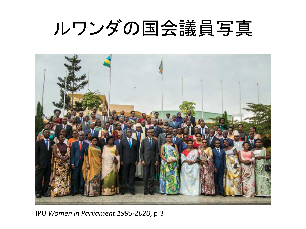## ルワンダの国会議員写真



IPU *Women in Parliament 1995-2020*, p.3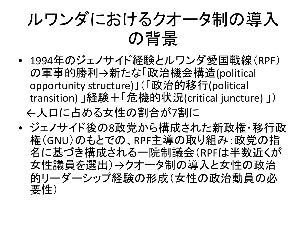

- 1994年のジェノサイド経験とルワンダ愛国戦線(RPF) の軍事的勝利→新たな「政治機会構造(political opportunity structure)」(「政治的移行(political transition) 」経験+「危機的状況(critical juncture) 」) ←人口に占める女性の割合が7割に
- ジェノサイド後の8政党から構成された新政権・移行政 権(GNU)のもとでの、RPF主導の取り組み:政党の指 名に基づき構成される一院制議会(RPFは半数近くが 女性議員を選出)→クオータ制の導入と女性の政治 的リーダーシップ経験の形成(女性の政治動員の必 要性)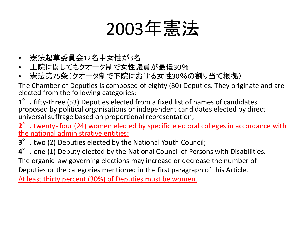## 2003年憲法

- 憲法起草委員会12名中女性が3名
- 上院に関してもクオータ制で女性議員が最低30%
- 憲法第75条(クオータ制で下院における女性30%の割り当て根拠)

The Chamber of Deputies is composed of eighty (80) Deputies. They originate and are elected from the following categories:

**1**°**.** fifty-three (53) Deputies elected from a fixed list of names of candidates proposed by political organisations or independent candidates elected by direct universal suffrage based on proportional representation;

**2**°**.** twenty- four (24) women elected by specific electoral colleges in accordance with the national administrative entities;

**3**°**.** two (2) Deputies elected by the National Youth Council;

**4**°**.** one (1) Deputy elected by the National Council of Persons with Disabilities. The organic law governing elections may increase or decrease the number of

Deputies or the categories mentioned in the first paragraph of this Article.

At least thirty percent (30%) of Deputies must be women.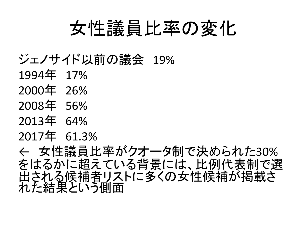#### 女性議員比率の変化

- ジェノサイド以前の議会 19%
- 1994年 17%
- 2000年 26%
- 2008年 56%
- 2013年 64%
- 2017年 61.3%

← 女性議員比率がクオータ制で決められた30% をはるかに超えている背景には、比例代表制で選 出される候補者リストに多くの女性候補が掲載さ れた結果という側面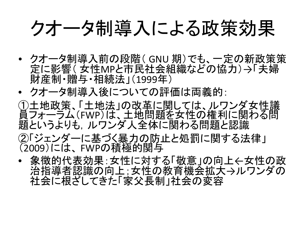#### クオータ制導入による政策効果

- クオータ制導入前の段階( GNU 期)でも、一定の新政策策 定に影響( 女性MPと市民社会組織などの協力)→「夫婦 財産制・贈与・相続法」(1999年)
- クオータ制導入後についての評価は両義的:
- ①土地政策、「土地法」の改革に関しては、ルワンダ女性議 員フォーラム(FWP)は、土地問題を女性の権利に関わる問 題というよりも、ルワンダ人全体に関わる問題と認識
- ②「ジェンダーに基づく暴力の防止と処罰に関する法律」 (2009)には、 FWPの積極的関与
- 象徴的代表効果:女性に対する「敬意」の向上←女性の政 治指導者認識の向上;女性の教育機会拡大→ルワンダの 社会に根ざしてきた「家父長制」社会の変容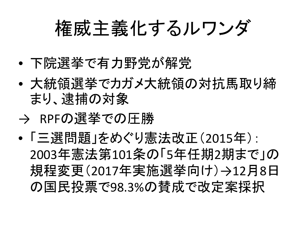## 権威主義化するルワンダ

- 下院選挙で有力野党が解党
- 大統領選挙でカガメ大統領の対抗馬取り締 まり、逮捕の対象
- → RPFの選挙での圧勝
- 「三選問題」をめぐり憲法改正(2015年): 2003年憲法第101条の「5年任期2期まで」の 規程変更(2017年実施選挙向け)→12月8日 の国民投票で98.3%の賛成で改定案採択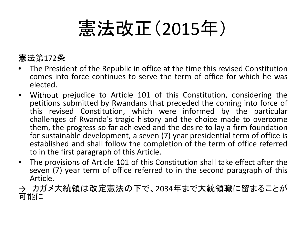## 憲法改正(2015年)

#### 憲法第172条

- The President of the Republic in office at the time this revised Constitution comes into force continues to serve the term of office for which he was elected.
- Without prejudice to Article 101 of this Constitution, considering the petitions submitted by Rwandans that preceded the coming into force of this revised Constitution, which were informed by the particular challenges of Rwanda's tragic history and the choice made to overcome them, the progress so far achieved and the desire to lay a firm foundation for sustainable development, a seven (7) year presidential term of office is established and shall follow the completion of the term of office referred to in the first paragraph of this Article.
- The provisions of Article 101 of this Constitution shall take effect after the seven (7) year term of office referred to in the second paragraph of this Article.
- → カガメ大統領は改定憲法の下で、2034年まで大統領職に留まることが 可能に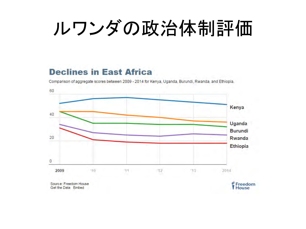# ルワンダの政治体制評価

#### **Declines in East Africa**

Comparison of aggregate scores between 2009 - 2014 for Kenya, Uganda, Burundi, Rwanda, and Ethiopia.



Source: Freedom House Get the Data Embed